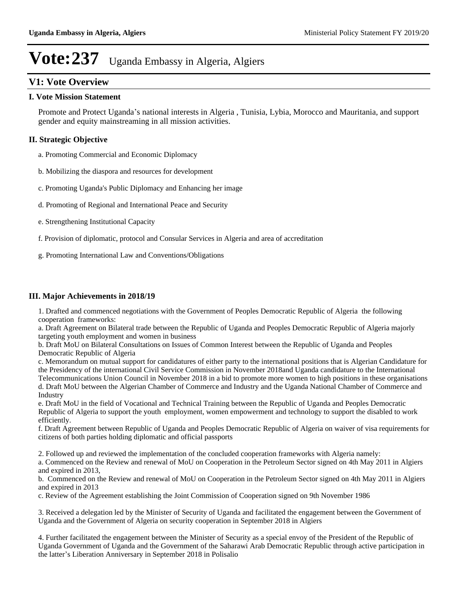## **V1: Vote Overview**

### **I. Vote Mission Statement**

Promote and Protect Uganda's national interests in Algeria, Tunisia, Lybia, Morocco and Mauritania, and support gender and equity mainstreaming in all mission activities.

## **II. Strategic Objective**

a. Promoting Commercial and Economic Diplomacy

- b. Mobilizing the diaspora and resources for development
- c. Promoting Uganda's Public Diplomacy and Enhancing her image
- d. Promoting of Regional and International Peace and Security
- e. Strengthening Institutional Capacity
- f. Provision of diplomatic, protocol and Consular Services in Algeria and area of accreditation
- g. Promoting International Law and Conventions/Obligations

### **III. Major Achievements in 2018/19**

1. Drafted and commenced negotiations with the Government of Peoples Democratic Republic of Algeria the following cooperation frameworks:

a. Draft Agreement on Bilateral trade between the Republic of Uganda and Peoples Democratic Republic of Algeria majorly targeting youth employment and women in business

b. Draft MoU on Bilateral Consultations on Issues of Common Interest between the Republic of Uganda and Peoples Democratic Republic of Algeria

c. Memorandum on mutual support for candidatures of either party to the international positions that is Algerian Candidature for the Presidency of the international Civil Service Commission in November 2018and Uganda candidature to the International Telecommunications Union Council in November 2018 in a bid to promote more women to high positions in these organisations d. Draft MoU between the Algerian Chamber of Commerce and Industry and the Uganda National Chamber of Commerce and Industry

e. Draft MoU in the field of Vocational and Technical Training between the Republic of Uganda and Peoples Democratic Republic of Algeria to support the youth employment, women empowerment and technology to support the disabled to work efficiently.

f. Draft Agreement between Republic of Uganda and Peoples Democratic Republic of Algeria on waiver of visa requirements for citizens of both parties holding diplomatic and official passports

2. Followed up and reviewed the implementation of the concluded cooperation frameworks with Algeria namely:

a. Commenced on the Review and renewal of MoU on Cooperation in the Petroleum Sector signed on 4th May 2011 in Algiers and expired in 2013,

b. Commenced on the Review and renewal of MoU on Cooperation in the Petroleum Sector signed on 4th May 2011 in Algiers and expired in 2013

c. Review of the Agreement establishing the Joint Commission of Cooperation signed on 9th November 1986

3. Received a delegation led by the Minister of Security of Uganda and facilitated the engagement between the Government of Uganda and the Government of Algeria on security cooperation in September 2018 in Algiers

4. Further facilitated the engagement between the Minister of Security as a special envoy of the President of the Republic of Uganda Government of Uganda and the Government of the Saharawi Arab Democratic Republic through active participation in the latter's Liberation Anniversary in September 2018 in Polisalio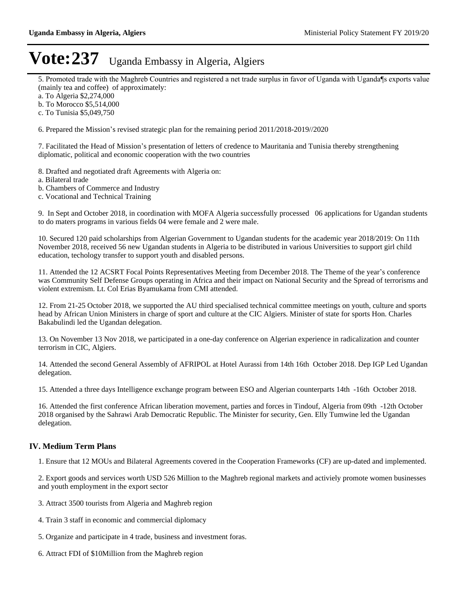5. Promoted trade with the Maghreb Countries and registered a net trade surplus in favor of Uganda with Uganda¶s exports value (mainly tea and coffee) of approximately:

a. To Algeria \$2,274,000

b. To Morocco \$5,514,000

c. To Tunisia \$5,049,750

6. Prepared the Mission's revised strategic plan for the remaining period  $2011/2018-2019/2020$ 

7. Facilitated the Head of Mission's presentation of letters of credence to Mauritania and Tunisia thereby strengthening diplomatic, political and economic cooperation with the two countries

8. Drafted and negotiated draft Agreements with Algeria on:

a. Bilateral trade

b. Chambers of Commerce and Industry

c. Vocational and Technical Training

9. In Sept and October 2018, in coordination with MOFA Algeria successfully processed 06 applications for Ugandan students to do maters programs in various fields 04 were female and 2 were male.

10. Secured 120 paid scholarships from Algerian Government to Ugandan students for the academic year 2018/2019: On 11th November 2018, received 56 new Ugandan students in Algeria to be distributed in various Universities to support girl child education, techology transfer to support youth and disabled persons.

11. Attended the 12 ACSRT Focal Points Representatives Meeting from December 2018. The Theme of the year's conference was Community Self Defense Groups operating in Africa and their impact on National Security and the Spread of terrorisms and violent extremism. Lt. Col Erias Byamukama from CMI attended.

12. From 21-25 October 2018, we supported the AU third specialised technical committee meetings on youth, culture and sports head by African Union Ministers in charge of sport and culture at the CIC Algiers. Minister of state for sports Hon. Charles Bakabulindi led the Ugandan delegation.

13. On November 13 Nov 2018, we participated in a one-day conference on Algerian experience in radicalization and counter terrorism in CIC, Algiers.

14. Attended the second General Assembly of AFRIPOL at Hotel Aurassi from 14th 16th October 2018. Dep IGP Led Ugandan delegation.

15. Attended a three days Intelligence exchange program between ESO and Algerian counterparts 14th -16th October 2018.

16. Attended the first conference African liberation movement, parties and forces in Tindouf, Algeria from 09th -12th October 2018 organised by the Sahrawi Arab Democratic Republic. The Minister for security, Gen. Elly Tumwine led the Ugandan delegation.

#### **IV. Medium Term Plans**

1. Ensure that 12 MOUs and Bilateral Agreements covered in the Cooperation Frameworks (CF) are up-dated and implemented.

2. Export goods and services worth USD 526 Million to the Maghreb regional markets and activiely promote women businesses and youth employment in the export sector

- 3. Attract 3500 tourists from Algeria and Maghreb region
- 4. Train 3 staff in economic and commercial diplomacy
- 5. Organize and participate in 4 trade, business and investment foras.
- 6. Attract FDI of \$10Million from the Maghreb region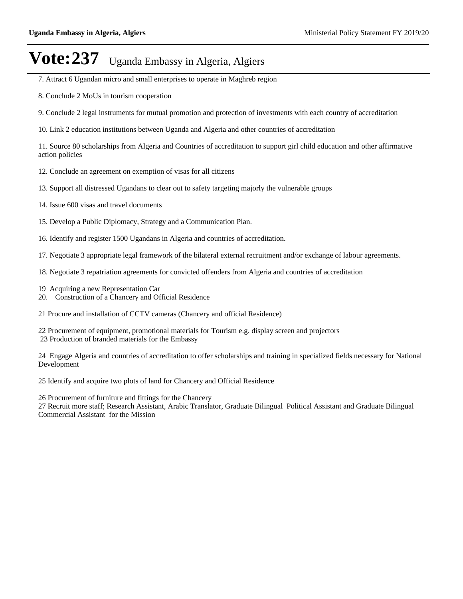- 7. Attract 6 Ugandan micro and small enterprises to operate in Maghreb region
- 8. Conclude 2 MoUs in tourism cooperation
- 9. Conclude 2 legal instruments for mutual promotion and protection of investments with each country of accreditation
- 10. Link 2 education institutions between Uganda and Algeria and other countries of accreditation

11. Source 80 scholarships from Algeria and Countries of accreditation to support girl child education and other affirmative action policies

- 12. Conclude an agreement on exemption of visas for all citizens
- 13. Support all distressed Ugandans to clear out to safety targeting majorly the vulnerable groups
- 14. Issue 600 visas and travel documents
- 15. Develop a Public Diplomacy, Strategy and a Communication Plan.
- 16. Identify and register 1500 Ugandans in Algeria and countries of accreditation.

17. Negotiate 3 appropriate legal framework of the bilateral external recruitment and/or exchange of labour agreements.

- 18. Negotiate 3 repatriation agreements for convicted offenders from Algeria and countries of accreditation
- 19 Acquiring a new Representation Car
- 20. Construction of a Chancery and Official Residence

21 Procure and installation of CCTV cameras (Chancery and official Residence)

22 Procurement of equipment, promotional materials for Tourism e.g. display screen and projectors 23 Production of branded materials for the Embassy

24 Engage Algeria and countries of accreditation to offer scholarships and training in specialized fields necessary for National Development

25 Identify and acquire two plots of land for Chancery and Official Residence

26 Procurement of furniture and fittings for the Chancery

27 Recruit more staff; Research Assistant, Arabic Translator, Graduate Bilingual Political Assistant and Graduate Bilingual Commercial Assistant for the Mission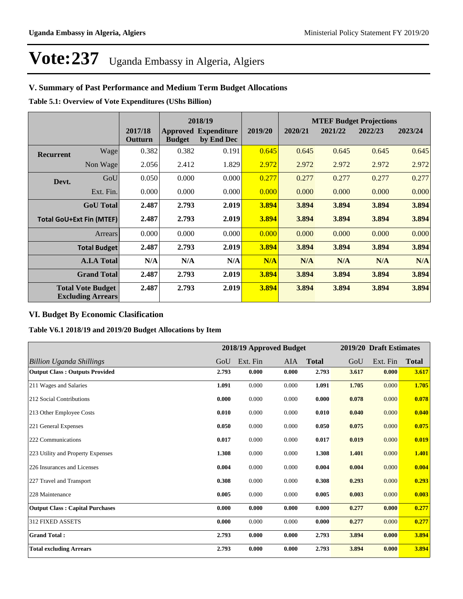## **V. Summary of Past Performance and Medium Term Budget Allocations**

**Table 5.1: Overview of Vote Expenditures (UShs Billion)**

|                  |                                                      |                    |               | 2018/19                                   |         |         |         | <b>MTEF Budget Projections</b> |         |
|------------------|------------------------------------------------------|--------------------|---------------|-------------------------------------------|---------|---------|---------|--------------------------------|---------|
|                  |                                                      | 2017/18<br>Outturn | <b>Budget</b> | <b>Approved Expenditure</b><br>by End Dec | 2019/20 | 2020/21 | 2021/22 | 2022/23                        | 2023/24 |
| <b>Recurrent</b> | Wage                                                 | 0.382              | 0.382         | 0.191                                     | 0.645   | 0.645   | 0.645   | 0.645                          | 0.645   |
|                  | Non Wage                                             | 2.056              | 2.412         | 1.829                                     | 2.972   | 2.972   | 2.972   | 2.972                          | 2.972   |
| Devt.            | GoU                                                  | 0.050              | 0.000         | 0.000                                     | 0.277   | 0.277   | 0.277   | 0.277                          | 0.277   |
|                  | Ext. Fin.                                            | 0.000              | 0.000         | 0.000                                     | 0.000   | 0.000   | 0.000   | 0.000                          | 0.000   |
|                  | <b>GoU</b> Total                                     | 2.487              | 2.793         | 2.019                                     | 3.894   | 3.894   | 3.894   | 3.894                          | 3.894   |
|                  | <b>Total GoU+Ext Fin (MTEF)</b>                      | 2.487              | 2.793         | 2.019                                     | 3.894   | 3.894   | 3.894   | 3.894                          | 3.894   |
|                  | Arrears                                              | 0.000              | 0.000         | 0.000                                     | 0.000   | 0.000   | 0.000   | 0.000                          | 0.000   |
|                  | <b>Total Budget</b>                                  | 2.487              | 2.793         | 2.019                                     | 3.894   | 3.894   | 3.894   | 3.894                          | 3.894   |
|                  | <b>A.I.A Total</b>                                   | N/A                | N/A           | N/A                                       | N/A     | N/A     | N/A     | N/A                            | N/A     |
|                  | <b>Grand Total</b>                                   | 2.487              | 2.793         | 2.019                                     | 3.894   | 3.894   | 3.894   | 3.894                          | 3.894   |
|                  | <b>Total Vote Budget</b><br><b>Excluding Arrears</b> | 2.487              | 2.793         | 2.019                                     | 3.894   | 3.894   | 3.894   | 3.894                          | 3.894   |

## **VI. Budget By Economic Clasification**

**Table V6.1 2018/19 and 2019/20 Budget Allocations by Item**

|                                        |       | 2018/19 Approved Budget |       |              |       | 2019/20 Draft Estimates |              |
|----------------------------------------|-------|-------------------------|-------|--------------|-------|-------------------------|--------------|
| <b>Billion Uganda Shillings</b>        | GoU   | Ext. Fin                | AIA   | <b>Total</b> | GoU   | Ext. Fin                | <b>Total</b> |
| <b>Output Class: Outputs Provided</b>  | 2.793 | 0.000                   | 0.000 | 2.793        | 3.617 | 0.000                   | 3.617        |
| 211 Wages and Salaries                 | 1.091 | 0.000                   | 0.000 | 1.091        | 1.705 | 0.000                   | 1.705        |
| 212 Social Contributions               | 0.000 | 0.000                   | 0.000 | 0.000        | 0.078 | 0.000                   | 0.078        |
| 213 Other Employee Costs               | 0.010 | 0.000                   | 0.000 | 0.010        | 0.040 | 0.000                   | 0.040        |
| 221 General Expenses                   | 0.050 | 0.000                   | 0.000 | 0.050        | 0.075 | 0.000                   | 0.075        |
| 222 Communications                     | 0.017 | 0.000                   | 0.000 | 0.017        | 0.019 | 0.000                   | 0.019        |
| 223 Utility and Property Expenses      | 1.308 | 0.000                   | 0.000 | 1.308        | 1.401 | 0.000                   | 1.401        |
| 226 Insurances and Licenses            | 0.004 | 0.000                   | 0.000 | 0.004        | 0.004 | 0.000                   | 0.004        |
| 227 Travel and Transport               | 0.308 | 0.000                   | 0.000 | 0.308        | 0.293 | 0.000                   | 0.293        |
| 228 Maintenance                        | 0.005 | 0.000                   | 0.000 | 0.005        | 0.003 | 0.000                   | 0.003        |
| <b>Output Class: Capital Purchases</b> | 0.000 | 0.000                   | 0.000 | 0.000        | 0.277 | 0.000                   | 0.277        |
| <b>312 FIXED ASSETS</b>                | 0.000 | 0.000                   | 0.000 | 0.000        | 0.277 | 0.000                   | 0.277        |
| <b>Grand Total:</b>                    | 2.793 | 0.000                   | 0.000 | 2.793        | 3.894 | 0.000                   | 3.894        |
| <b>Total excluding Arrears</b>         | 2.793 | 0.000                   | 0.000 | 2.793        | 3.894 | 0.000                   | 3.894        |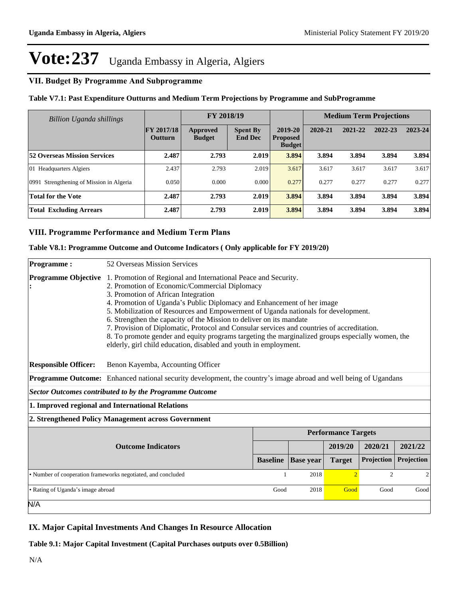## **VII. Budget By Programme And Subprogramme**

### **Table V7.1: Past Expenditure Outturns and Medium Term Projections by Programme and SubProgramme**

| Billion Uganda shillings                 |                                     | FY 2018/19                |                                   |                                             |         | <b>Medium Term Projections</b> |         |         |
|------------------------------------------|-------------------------------------|---------------------------|-----------------------------------|---------------------------------------------|---------|--------------------------------|---------|---------|
|                                          | <b>FY 2017/18</b><br><b>Outturn</b> | Approved<br><b>Budget</b> | <b>Spent By</b><br><b>End Dec</b> | 2019-20<br><b>Proposed</b><br><b>Budget</b> | 2020-21 | 2021-22                        | 2022-23 | 2023-24 |
| <b>52 Overseas Mission Services</b>      | 2.487                               | 2.793                     | 2.019                             | 3.894                                       | 3.894   | 3.894                          | 3.894   | 3.894   |
| 01 Headquarters Algiers                  | 2.437                               | 2.793                     | 2.019                             | 3.617                                       | 3.617   | 3.617                          | 3.617   | 3.617   |
| 0991 Strengthening of Mission in Algeria | 0.050                               | 0.000                     | 0.000                             | 0.277                                       | 0.277   | 0.277                          | 0.277   | 0.277   |
| <b>Total for the Vote</b>                | 2.487                               | 2.793                     | 2.019                             | 3.894                                       | 3.894   | 3.894                          | 3.894   | 3.894   |
| <b>Total Excluding Arrears</b>           | 2.487                               | 2.793                     | 2.019                             | 3.894                                       | 3.894   | 3.894                          | 3.894   | 3.894   |

## **VIII. Programme Performance and Medium Term Plans**

#### **Table V8.1: Programme Outcome and Outcome Indicators ( Only applicable for FY 2019/20)**

| <b>Programme:</b>                 | 52 Overseas Mission Services                                                                                                                                                                                                                                                                                                                                                                                                                                                                                                                                                                                                                                       |                 |                  |                            |                |                |
|-----------------------------------|--------------------------------------------------------------------------------------------------------------------------------------------------------------------------------------------------------------------------------------------------------------------------------------------------------------------------------------------------------------------------------------------------------------------------------------------------------------------------------------------------------------------------------------------------------------------------------------------------------------------------------------------------------------------|-----------------|------------------|----------------------------|----------------|----------------|
| <b>Programme Objective</b>        | 1. Promotion of Regional and International Peace and Security.<br>2. Promotion of Economic/Commercial Diplomacy<br>3. Promotion of African Integration<br>4. Promotion of Uganda's Public Diplomacy and Enhancement of her image<br>5. Mobilization of Resources and Empowerment of Uganda nationals for development.<br>6. Strengthen the capacity of the Mission to deliver on its mandate<br>7. Provision of Diplomatic, Protocol and Consular services and countries of accreditation.<br>8. To promote gender and equity programs targeting the marginalized groups especially women, the<br>elderly, girl child education, disabled and youth in employment. |                 |                  |                            |                |                |
| <b>Responsible Officer:</b>       | Benon Kayemba, Accounting Officer                                                                                                                                                                                                                                                                                                                                                                                                                                                                                                                                                                                                                                  |                 |                  |                            |                |                |
|                                   | <b>Programme Outcome:</b> Enhanced national security development, the country's image abroad and well being of Ugandans                                                                                                                                                                                                                                                                                                                                                                                                                                                                                                                                            |                 |                  |                            |                |                |
|                                   | Sector Outcomes contributed to by the Programme Outcome                                                                                                                                                                                                                                                                                                                                                                                                                                                                                                                                                                                                            |                 |                  |                            |                |                |
|                                   | 1. Improved regional and International Relations                                                                                                                                                                                                                                                                                                                                                                                                                                                                                                                                                                                                                   |                 |                  |                            |                |                |
|                                   | 2. Strengthened Policy Management across Government                                                                                                                                                                                                                                                                                                                                                                                                                                                                                                                                                                                                                |                 |                  |                            |                |                |
|                                   |                                                                                                                                                                                                                                                                                                                                                                                                                                                                                                                                                                                                                                                                    |                 |                  | <b>Performance Targets</b> |                |                |
|                                   | <b>Outcome Indicators</b>                                                                                                                                                                                                                                                                                                                                                                                                                                                                                                                                                                                                                                          |                 |                  | 2019/20                    | 2020/21        | 2021/22        |
|                                   |                                                                                                                                                                                                                                                                                                                                                                                                                                                                                                                                                                                                                                                                    | <b>Baseline</b> | <b>Base year</b> | <b>Target</b>              | Projection     | Projection     |
|                                   | • Number of cooperation frameworks negotiated, and concluded                                                                                                                                                                                                                                                                                                                                                                                                                                                                                                                                                                                                       |                 | 2018             | $\overline{\mathcal{L}}$   | $\overline{c}$ | $\overline{c}$ |
| • Rating of Uganda's image abroad |                                                                                                                                                                                                                                                                                                                                                                                                                                                                                                                                                                                                                                                                    | Good            | 2018             | Good                       | Good           | Good           |
| N/A                               |                                                                                                                                                                                                                                                                                                                                                                                                                                                                                                                                                                                                                                                                    |                 |                  |                            |                |                |

### **IX. Major Capital Investments And Changes In Resource Allocation**

**Table 9.1: Major Capital Investment (Capital Purchases outputs over 0.5Billion)**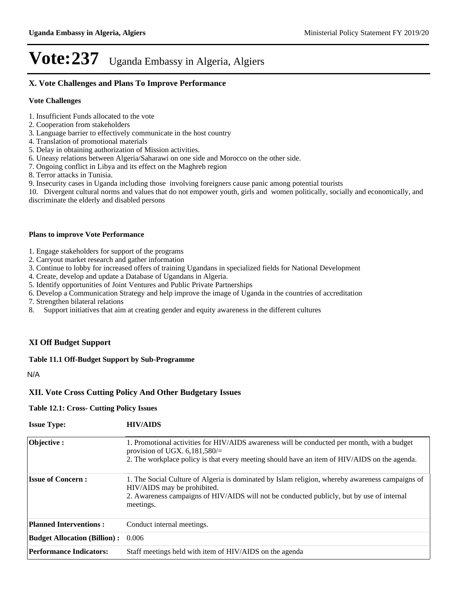## **X. Vote Challenges and Plans To Improve Performance**

#### **Vote Challenges**

- 1. Insufficient Funds allocated to the vote
- 2. Cooperation from stakeholders
- 3. Language barrier to effectively communicate in the host country
- 4. Translation of promotional materials
- 5. Delay in obtaining authorization of Mission activities.
- 6. Uneasy relations between Algeria/Saharawi on one side and Morocco on the other side.
- 7. Ongoing conflict in Libya and its effect on the Maghreb region
- 8. Terror attacks in Tunisia.
- 9. Insecurity cases in Uganda including those involving foreigners cause panic among potential tourists

10. Divergent cultural norms and values that do not empower youth, girls and women politically, socially and economically, and discriminate the elderly and disabled persons

#### **Plans to improve Vote Performance**

- 1. Engage stakeholders for support of the programs
- 2. Carryout market research and gather information
- 3. Continue to lobby for increased offers of training Ugandans in specialized fields for National Development
- 4. Create, develop and update a Database of Ugandans in Algeria.
- 5. Identify opportunities of Joint Ventures and Public Private Partnerships
- 6. Develop a Communication Strategy and help improve the image of Uganda in the countries of accreditation

7. Strengthen bilateral relations

8. Support initiatives that aim at creating gender and equity awareness in the different cultures

### **XI Off Budget Support**

#### **Table 11.1 Off-Budget Support by Sub-Programme**

N/A

### **XII. Vote Cross Cutting Policy And Other Budgetary Issues**

#### **Table 12.1: Cross- Cutting Policy Issues**

| <b>Issue Type:</b>                  | <b>HIV/AIDS</b>                                                                                                                                                                                                                          |
|-------------------------------------|------------------------------------------------------------------------------------------------------------------------------------------------------------------------------------------------------------------------------------------|
| Objective:                          | 1. Promotional activities for HIV/AIDS awareness will be conducted per month, with a budget<br>provision of UGX. $6,181,580/\equiv$<br>2. The workplace policy is that every meeting should have an item of HIV/AIDS on the agenda.      |
| <b>Issue of Concern:</b>            | 1. The Social Culture of Algeria is dominated by Islam religion, whereby awareness campaigns of<br>HIV/AIDS may be prohibited.<br>2. Awareness campaigns of HIV/AIDS will not be conducted publicly, but by use of internal<br>meetings. |
| <b>Planned Interventions:</b>       | Conduct internal meetings.                                                                                                                                                                                                               |
| <b>Budget Allocation (Billion):</b> | 0.006                                                                                                                                                                                                                                    |
| <b>Performance Indicators:</b>      | Staff meetings held with item of HIV/AIDS on the agenda                                                                                                                                                                                  |